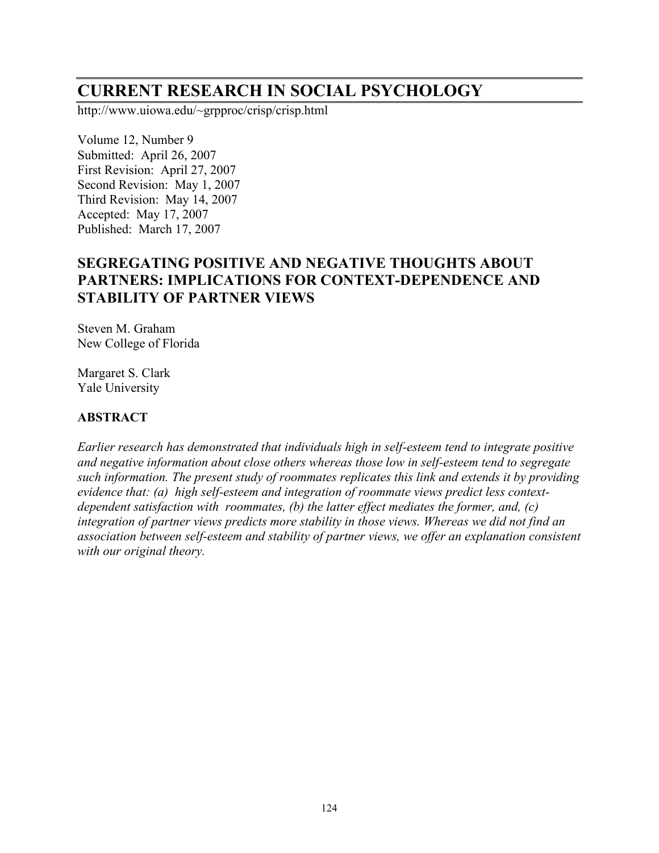# **CURRENT RESEARCH IN SOCIAL PSYCHOLOGY**

http://www.uiowa.edu/~grpproc/crisp/crisp.html

Volume 12, Number 9 Submitted: April 26, 2007 First Revision: April 27, 2007 Second Revision: May 1, 2007 Third Revision: May 14, 2007 Accepted: May 17, 2007 Published: March 17, 2007

## **SEGREGATING POSITIVE AND NEGATIVE THOUGHTS ABOUT PARTNERS: IMPLICATIONS FOR CONTEXT-DEPENDENCE AND STABILITY OF PARTNER VIEWS**

Steven M. Graham New College of Florida

Margaret S. Clark Yale University

#### **ABSTRACT**

*Earlier research has demonstrated that individuals high in self-esteem tend to integrate positive and negative information about close others whereas those low in self-esteem tend to segregate such information. The present study of roommates replicates this link and extends it by providing evidence that: (a) high self-esteem and integration of roommate views predict less contextdependent satisfaction with roommates, (b) the latter effect mediates the former, and, (c) integration of partner views predicts more stability in those views. Whereas we did not find an association between self-esteem and stability of partner views, we offer an explanation consistent with our original theory.*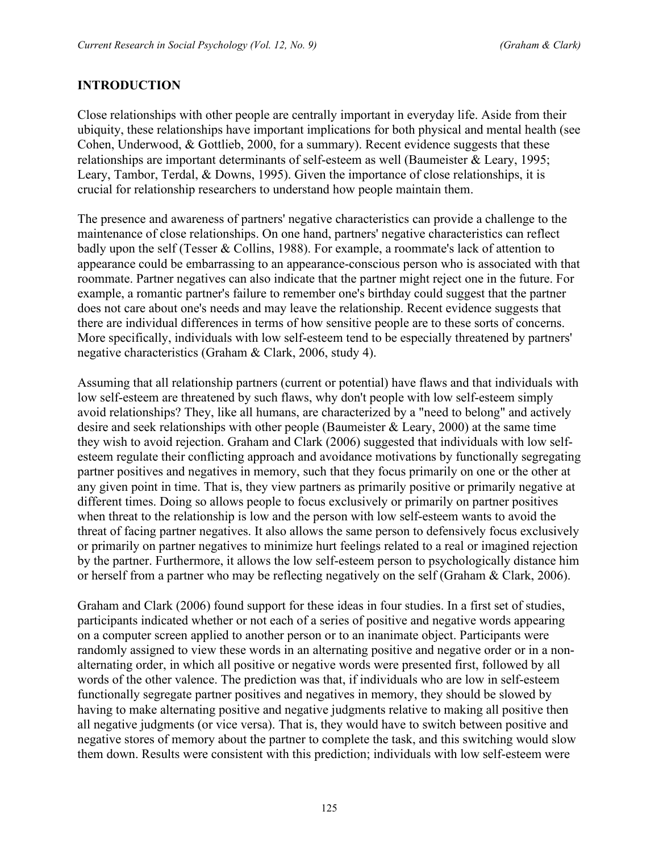#### **INTRODUCTION**

Close relationships with other people are centrally important in everyday life. Aside from their ubiquity, these relationships have important implications for both physical and mental health (see Cohen, Underwood, & Gottlieb, 2000, for a summary). Recent evidence suggests that these relationships are important determinants of self-esteem as well (Baumeister & Leary, 1995; Leary, Tambor, Terdal, & Downs, 1995). Given the importance of close relationships, it is crucial for relationship researchers to understand how people maintain them.

The presence and awareness of partners' negative characteristics can provide a challenge to the maintenance of close relationships. On one hand, partners' negative characteristics can reflect badly upon the self (Tesser & Collins, 1988). For example, a roommate's lack of attention to appearance could be embarrassing to an appearance-conscious person who is associated with that roommate. Partner negatives can also indicate that the partner might reject one in the future. For example, a romantic partner's failure to remember one's birthday could suggest that the partner does not care about one's needs and may leave the relationship. Recent evidence suggests that there are individual differences in terms of how sensitive people are to these sorts of concerns. More specifically, individuals with low self-esteem tend to be especially threatened by partners' negative characteristics (Graham & Clark, 2006, study 4).

Assuming that all relationship partners (current or potential) have flaws and that individuals with low self-esteem are threatened by such flaws, why don't people with low self-esteem simply avoid relationships? They, like all humans, are characterized by a "need to belong" and actively desire and seek relationships with other people (Baumeister & Leary, 2000) at the same time they wish to avoid rejection. Graham and Clark (2006) suggested that individuals with low selfesteem regulate their conflicting approach and avoidance motivations by functionally segregating partner positives and negatives in memory, such that they focus primarily on one or the other at any given point in time. That is, they view partners as primarily positive or primarily negative at different times. Doing so allows people to focus exclusively or primarily on partner positives when threat to the relationship is low and the person with low self-esteem wants to avoid the threat of facing partner negatives. It also allows the same person to defensively focus exclusively or primarily on partner negatives to minimize hurt feelings related to a real or imagined rejection by the partner. Furthermore, it allows the low self-esteem person to psychologically distance him or herself from a partner who may be reflecting negatively on the self (Graham & Clark, 2006).

Graham and Clark (2006) found support for these ideas in four studies. In a first set of studies, participants indicated whether or not each of a series of positive and negative words appearing on a computer screen applied to another person or to an inanimate object. Participants were randomly assigned to view these words in an alternating positive and negative order or in a nonalternating order, in which all positive or negative words were presented first, followed by all words of the other valence. The prediction was that, if individuals who are low in self-esteem functionally segregate partner positives and negatives in memory, they should be slowed by having to make alternating positive and negative judgments relative to making all positive then all negative judgments (or vice versa). That is, they would have to switch between positive and negative stores of memory about the partner to complete the task, and this switching would slow them down. Results were consistent with this prediction; individuals with low self-esteem were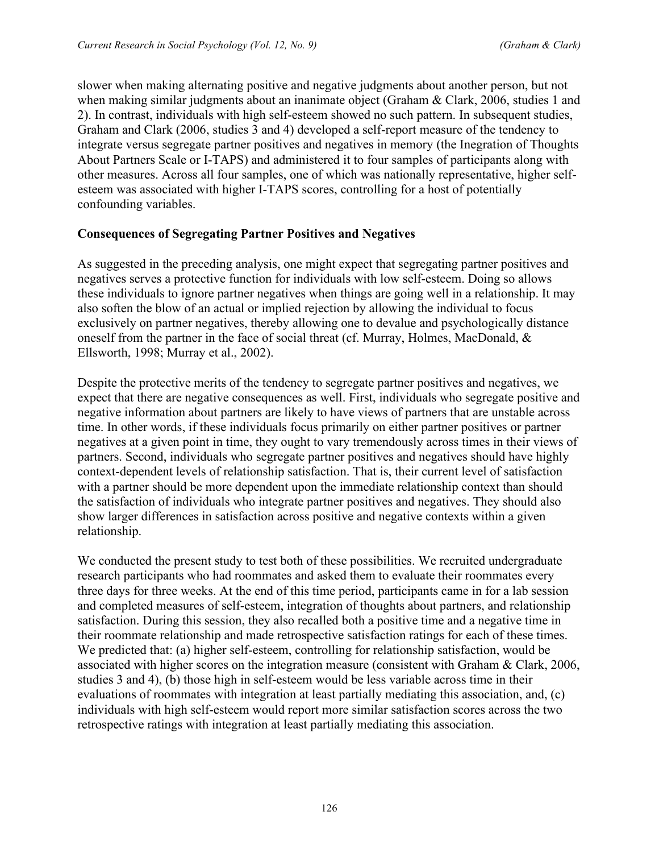slower when making alternating positive and negative judgments about another person, but not when making similar judgments about an inanimate object (Graham & Clark, 2006, studies 1 and 2). In contrast, individuals with high self-esteem showed no such pattern. In subsequent studies, Graham and Clark (2006, studies 3 and 4) developed a self-report measure of the tendency to integrate versus segregate partner positives and negatives in memory (the Inegration of Thoughts About Partners Scale or I-TAPS) and administered it to four samples of participants along with other measures. Across all four samples, one of which was nationally representative, higher selfesteem was associated with higher I-TAPS scores, controlling for a host of potentially confounding variables.

## **Consequences of Segregating Partner Positives and Negatives**

As suggested in the preceding analysis, one might expect that segregating partner positives and negatives serves a protective function for individuals with low self-esteem. Doing so allows these individuals to ignore partner negatives when things are going well in a relationship. It may also soften the blow of an actual or implied rejection by allowing the individual to focus exclusively on partner negatives, thereby allowing one to devalue and psychologically distance oneself from the partner in the face of social threat (cf. Murray, Holmes, MacDonald, & Ellsworth, 1998; Murray et al., 2002).

Despite the protective merits of the tendency to segregate partner positives and negatives, we expect that there are negative consequences as well. First, individuals who segregate positive and negative information about partners are likely to have views of partners that are unstable across time. In other words, if these individuals focus primarily on either partner positives or partner negatives at a given point in time, they ought to vary tremendously across times in their views of partners. Second, individuals who segregate partner positives and negatives should have highly context-dependent levels of relationship satisfaction. That is, their current level of satisfaction with a partner should be more dependent upon the immediate relationship context than should the satisfaction of individuals who integrate partner positives and negatives. They should also show larger differences in satisfaction across positive and negative contexts within a given relationship.

We conducted the present study to test both of these possibilities. We recruited undergraduate research participants who had roommates and asked them to evaluate their roommates every three days for three weeks. At the end of this time period, participants came in for a lab session and completed measures of self-esteem, integration of thoughts about partners, and relationship satisfaction. During this session, they also recalled both a positive time and a negative time in their roommate relationship and made retrospective satisfaction ratings for each of these times. We predicted that: (a) higher self-esteem, controlling for relationship satisfaction, would be associated with higher scores on the integration measure (consistent with Graham & Clark, 2006, studies 3 and 4), (b) those high in self-esteem would be less variable across time in their evaluations of roommates with integration at least partially mediating this association, and, (c) individuals with high self-esteem would report more similar satisfaction scores across the two retrospective ratings with integration at least partially mediating this association.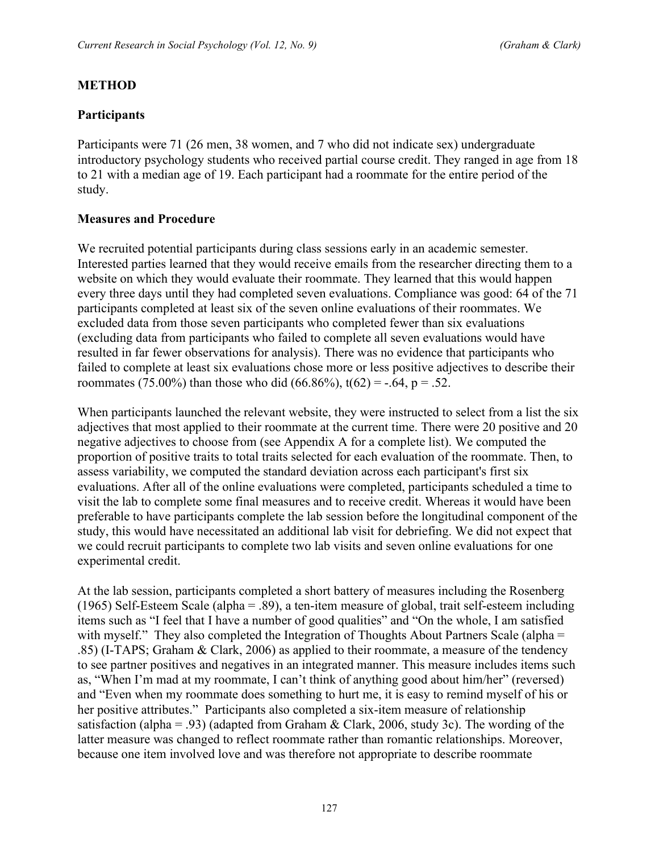## **METHOD**

## **Participants**

Participants were 71 (26 men, 38 women, and 7 who did not indicate sex) undergraduate introductory psychology students who received partial course credit. They ranged in age from 18 to 21 with a median age of 19. Each participant had a roommate for the entire period of the study.

## **Measures and Procedure**

We recruited potential participants during class sessions early in an academic semester. Interested parties learned that they would receive emails from the researcher directing them to a website on which they would evaluate their roommate. They learned that this would happen every three days until they had completed seven evaluations. Compliance was good: 64 of the 71 participants completed at least six of the seven online evaluations of their roommates. We excluded data from those seven participants who completed fewer than six evaluations (excluding data from participants who failed to complete all seven evaluations would have resulted in far fewer observations for analysis). There was no evidence that participants who failed to complete at least six evaluations chose more or less positive adjectives to describe their roommates (75.00%) than those who did (66.86%),  $t(62) = -.64$ ,  $p = .52$ .

When participants launched the relevant website, they were instructed to select from a list the six adjectives that most applied to their roommate at the current time. There were 20 positive and 20 negative adjectives to choose from (see Appendix A for a complete list). We computed the proportion of positive traits to total traits selected for each evaluation of the roommate. Then, to assess variability, we computed the standard deviation across each participant's first six evaluations. After all of the online evaluations were completed, participants scheduled a time to visit the lab to complete some final measures and to receive credit. Whereas it would have been preferable to have participants complete the lab session before the longitudinal component of the study, this would have necessitated an additional lab visit for debriefing. We did not expect that we could recruit participants to complete two lab visits and seven online evaluations for one experimental credit.

At the lab session, participants completed a short battery of measures including the Rosenberg (1965) Self-Esteem Scale (alpha = .89), a ten-item measure of global, trait self-esteem including items such as "I feel that I have a number of good qualities" and "On the whole, I am satisfied with myself." They also completed the Integration of Thoughts About Partners Scale (alpha = .85) (I-TAPS; Graham & Clark, 2006) as applied to their roommate, a measure of the tendency to see partner positives and negatives in an integrated manner. This measure includes items such as, "When I'm mad at my roommate, I can't think of anything good about him/her" (reversed) and "Even when my roommate does something to hurt me, it is easy to remind myself of his or her positive attributes." Participants also completed a six-item measure of relationship satisfaction (alpha = .93) (adapted from Graham & Clark, 2006, study 3c). The wording of the latter measure was changed to reflect roommate rather than romantic relationships. Moreover, because one item involved love and was therefore not appropriate to describe roommate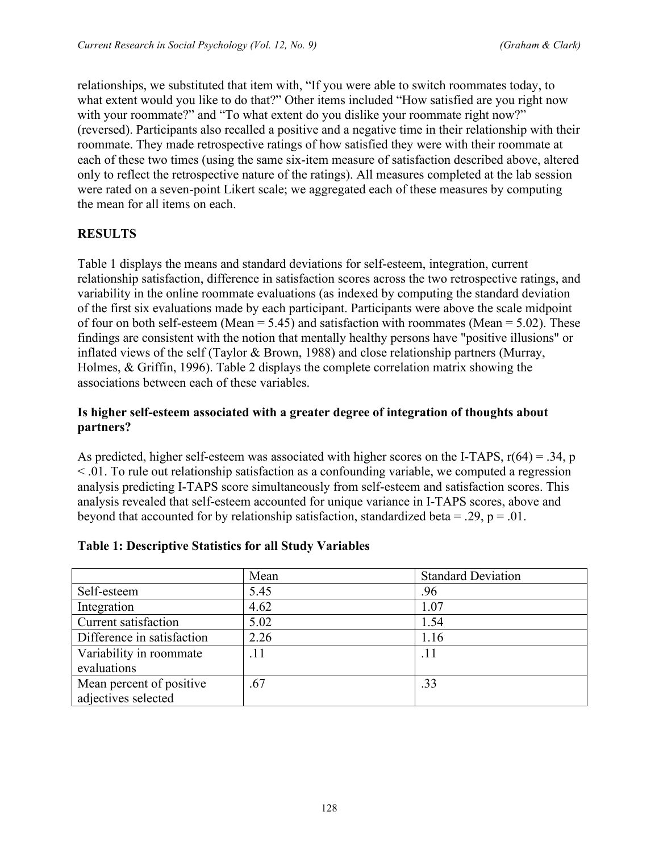relationships, we substituted that item with, "If you were able to switch roommates today, to what extent would you like to do that?" Other items included "How satisfied are you right now with your roommate?" and "To what extent do you dislike your roommate right now?" (reversed). Participants also recalled a positive and a negative time in their relationship with their roommate. They made retrospective ratings of how satisfied they were with their roommate at each of these two times (using the same six-item measure of satisfaction described above, altered only to reflect the retrospective nature of the ratings). All measures completed at the lab session were rated on a seven-point Likert scale; we aggregated each of these measures by computing the mean for all items on each.

## **RESULTS**

Table 1 displays the means and standard deviations for self-esteem, integration, current relationship satisfaction, difference in satisfaction scores across the two retrospective ratings, and variability in the online roommate evaluations (as indexed by computing the standard deviation of the first six evaluations made by each participant. Participants were above the scale midpoint of four on both self-esteem (Mean  $= 5.45$ ) and satisfaction with roommates (Mean  $= 5.02$ ). These findings are consistent with the notion that mentally healthy persons have "positive illusions" or inflated views of the self (Taylor & Brown, 1988) and close relationship partners (Murray, Holmes, & Griffin, 1996). Table 2 displays the complete correlation matrix showing the associations between each of these variables.

#### **Is higher self-esteem associated with a greater degree of integration of thoughts about partners?**

As predicted, higher self-esteem was associated with higher scores on the I-TAPS,  $r(64) = .34$ , p < .01. To rule out relationship satisfaction as a confounding variable, we computed a regression analysis predicting I-TAPS score simultaneously from self-esteem and satisfaction scores. This analysis revealed that self-esteem accounted for unique variance in I-TAPS scores, above and beyond that accounted for by relationship satisfaction, standardized beta = .29,  $p = .01$ .

|                            | Mean | <b>Standard Deviation</b> |  |
|----------------------------|------|---------------------------|--|
| Self-esteem                | 5.45 | .96                       |  |
| Integration                | 4.62 | 1.07                      |  |
| Current satisfaction       | 5.02 | 1.54                      |  |
| Difference in satisfaction | 2.26 | 1.16                      |  |
| Variability in roommate    | .11  | .11                       |  |
| evaluations                |      |                           |  |
| Mean percent of positive   | .67  | .33                       |  |
| adjectives selected        |      |                           |  |

#### **Table 1: Descriptive Statistics for all Study Variables**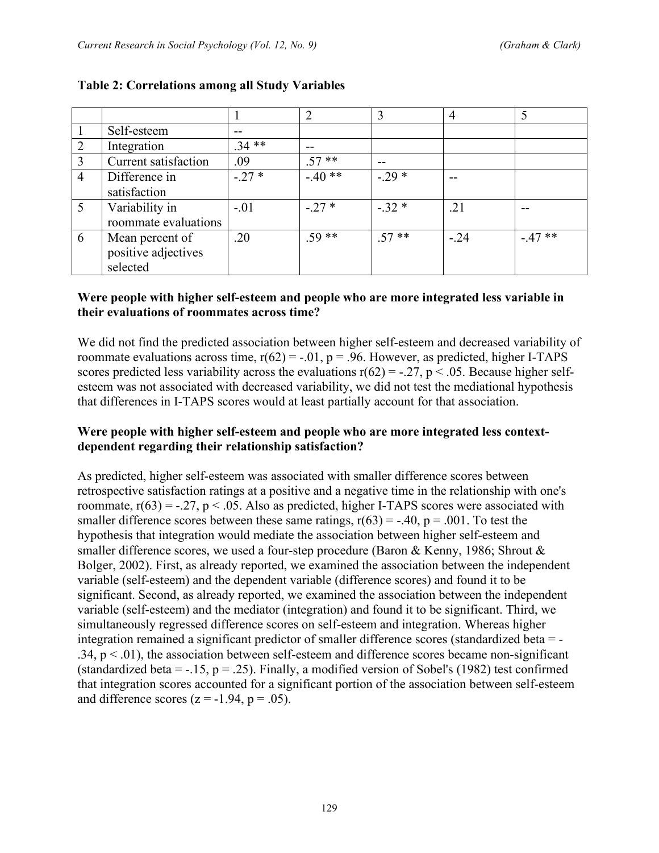|                |                      |         | $\overline{2}$ | 3       |        |         |
|----------------|----------------------|---------|----------------|---------|--------|---------|
|                | Self-esteem          | $- -$   |                |         |        |         |
| $\overline{2}$ | Integration          | $.34**$ | --             |         |        |         |
| 3              | Current satisfaction | .09     | $.57**$        | --      |        |         |
| 4              | Difference in        | $-27*$  | $-40**$        | $-29*$  | --     |         |
|                | satisfaction         |         |                |         |        |         |
| 5              | Variability in       | $-.01$  | $-27*$         | $-.32*$ | .21    |         |
|                | roommate evaluations |         |                |         |        |         |
| 6              | Mean percent of      | .20     | $.59**$        | $.57**$ | $-.24$ | $-47**$ |
|                | positive adjectives  |         |                |         |        |         |
|                | selected             |         |                |         |        |         |

## **Table 2: Correlations among all Study Variables**

#### **Were people with higher self-esteem and people who are more integrated less variable in their evaluations of roommates across time?**

We did not find the predicted association between higher self-esteem and decreased variability of roommate evaluations across time,  $r(62) = -.01$ ,  $p = .96$ . However, as predicted, higher I-TAPS scores predicted less variability across the evaluations  $r(62) = -0.27$ , p < .05. Because higher selfesteem was not associated with decreased variability, we did not test the mediational hypothesis that differences in I-TAPS scores would at least partially account for that association.

#### **Were people with higher self-esteem and people who are more integrated less contextdependent regarding their relationship satisfaction?**

As predicted, higher self-esteem was associated with smaller difference scores between retrospective satisfaction ratings at a positive and a negative time in the relationship with one's roommate,  $r(63) = -0.27$ ,  $p < 0.05$ . Also as predicted, higher I-TAPS scores were associated with smaller difference scores between these same ratings,  $r(63) = -.40$ ,  $p = .001$ . To test the hypothesis that integration would mediate the association between higher self-esteem and smaller difference scores, we used a four-step procedure (Baron & Kenny, 1986; Shrout & Bolger, 2002). First, as already reported, we examined the association between the independent variable (self-esteem) and the dependent variable (difference scores) and found it to be significant. Second, as already reported, we examined the association between the independent variable (self-esteem) and the mediator (integration) and found it to be significant. Third, we simultaneously regressed difference scores on self-esteem and integration. Whereas higher integration remained a significant predictor of smaller difference scores (standardized beta = -  $.34, p < .01$ , the association between self-esteem and difference scores became non-significant (standardized beta =  $-15$ , p = .25). Finally, a modified version of Sobel's (1982) test confirmed that integration scores accounted for a significant portion of the association between self-esteem and difference scores  $(z = -1.94, p = .05)$ .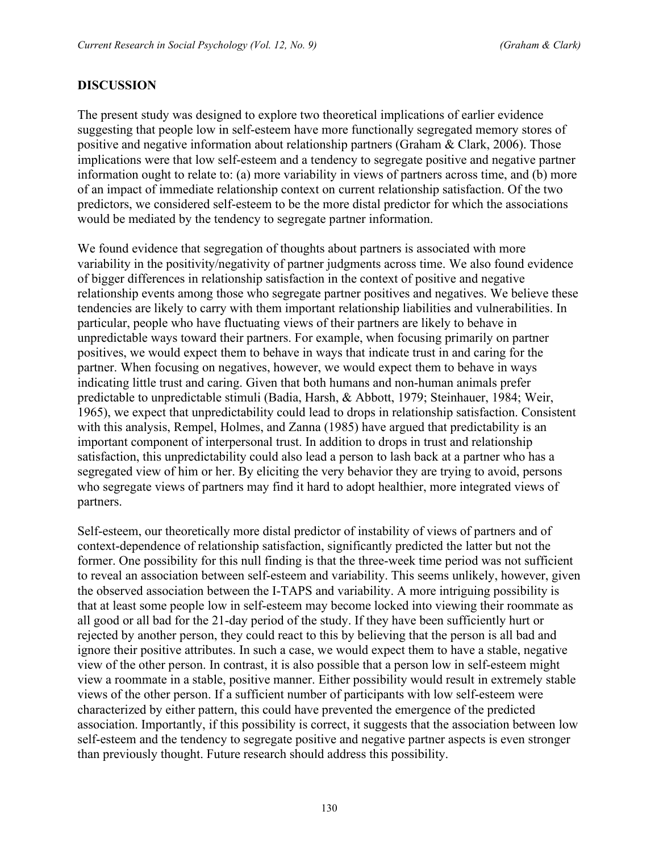#### **DISCUSSION**

The present study was designed to explore two theoretical implications of earlier evidence suggesting that people low in self-esteem have more functionally segregated memory stores of positive and negative information about relationship partners (Graham & Clark, 2006). Those implications were that low self-esteem and a tendency to segregate positive and negative partner information ought to relate to: (a) more variability in views of partners across time, and (b) more of an impact of immediate relationship context on current relationship satisfaction. Of the two predictors, we considered self-esteem to be the more distal predictor for which the associations would be mediated by the tendency to segregate partner information.

We found evidence that segregation of thoughts about partners is associated with more variability in the positivity/negativity of partner judgments across time. We also found evidence of bigger differences in relationship satisfaction in the context of positive and negative relationship events among those who segregate partner positives and negatives. We believe these tendencies are likely to carry with them important relationship liabilities and vulnerabilities. In particular, people who have fluctuating views of their partners are likely to behave in unpredictable ways toward their partners. For example, when focusing primarily on partner positives, we would expect them to behave in ways that indicate trust in and caring for the partner. When focusing on negatives, however, we would expect them to behave in ways indicating little trust and caring. Given that both humans and non-human animals prefer predictable to unpredictable stimuli (Badia, Harsh, & Abbott, 1979; Steinhauer, 1984; Weir, 1965), we expect that unpredictability could lead to drops in relationship satisfaction. Consistent with this analysis, Rempel, Holmes, and Zanna (1985) have argued that predictability is an important component of interpersonal trust. In addition to drops in trust and relationship satisfaction, this unpredictability could also lead a person to lash back at a partner who has a segregated view of him or her. By eliciting the very behavior they are trying to avoid, persons who segregate views of partners may find it hard to adopt healthier, more integrated views of partners.

Self-esteem, our theoretically more distal predictor of instability of views of partners and of context-dependence of relationship satisfaction, significantly predicted the latter but not the former. One possibility for this null finding is that the three-week time period was not sufficient to reveal an association between self-esteem and variability. This seems unlikely, however, given the observed association between the I-TAPS and variability. A more intriguing possibility is that at least some people low in self-esteem may become locked into viewing their roommate as all good or all bad for the 21-day period of the study. If they have been sufficiently hurt or rejected by another person, they could react to this by believing that the person is all bad and ignore their positive attributes. In such a case, we would expect them to have a stable, negative view of the other person. In contrast, it is also possible that a person low in self-esteem might view a roommate in a stable, positive manner. Either possibility would result in extremely stable views of the other person. If a sufficient number of participants with low self-esteem were characterized by either pattern, this could have prevented the emergence of the predicted association. Importantly, if this possibility is correct, it suggests that the association between low self-esteem and the tendency to segregate positive and negative partner aspects is even stronger than previously thought. Future research should address this possibility.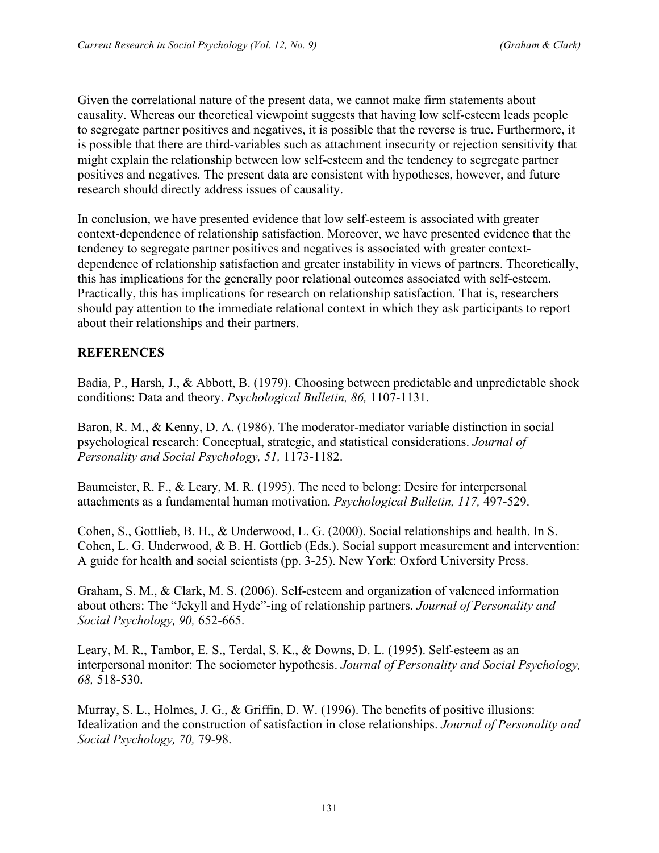Given the correlational nature of the present data, we cannot make firm statements about causality. Whereas our theoretical viewpoint suggests that having low self-esteem leads people to segregate partner positives and negatives, it is possible that the reverse is true. Furthermore, it is possible that there are third-variables such as attachment insecurity or rejection sensitivity that might explain the relationship between low self-esteem and the tendency to segregate partner positives and negatives. The present data are consistent with hypotheses, however, and future research should directly address issues of causality.

In conclusion, we have presented evidence that low self-esteem is associated with greater context-dependence of relationship satisfaction. Moreover, we have presented evidence that the tendency to segregate partner positives and negatives is associated with greater contextdependence of relationship satisfaction and greater instability in views of partners. Theoretically, this has implications for the generally poor relational outcomes associated with self-esteem. Practically, this has implications for research on relationship satisfaction. That is, researchers should pay attention to the immediate relational context in which they ask participants to report about their relationships and their partners.

## **REFERENCES**

Badia, P., Harsh, J., & Abbott, B. (1979). Choosing between predictable and unpredictable shock conditions: Data and theory. *Psychological Bulletin, 86,* 1107-1131.

Baron, R. M., & Kenny, D. A. (1986). The moderator-mediator variable distinction in social psychological research: Conceptual, strategic, and statistical considerations. *Journal of Personality and Social Psychology, 51,* 1173-1182.

Baumeister, R. F., & Leary, M. R. (1995). The need to belong: Desire for interpersonal attachments as a fundamental human motivation. *Psychological Bulletin, 117,* 497-529.

Cohen, S., Gottlieb, B. H., & Underwood, L. G. (2000). Social relationships and health. In S. Cohen, L. G. Underwood, & B. H. Gottlieb (Eds.). Social support measurement and intervention: A guide for health and social scientists (pp. 3-25). New York: Oxford University Press.

Graham, S. M., & Clark, M. S. (2006). Self-esteem and organization of valenced information about others: The "Jekyll and Hyde"-ing of relationship partners. *Journal of Personality and Social Psychology, 90,* 652-665.

Leary, M. R., Tambor, E. S., Terdal, S. K., & Downs, D. L. (1995). Self-esteem as an interpersonal monitor: The sociometer hypothesis. *Journal of Personality and Social Psychology, 68,* 518-530.

Murray, S. L., Holmes, J. G., & Griffin, D. W. (1996). The benefits of positive illusions: Idealization and the construction of satisfaction in close relationships. *Journal of Personality and Social Psychology, 70,* 79-98.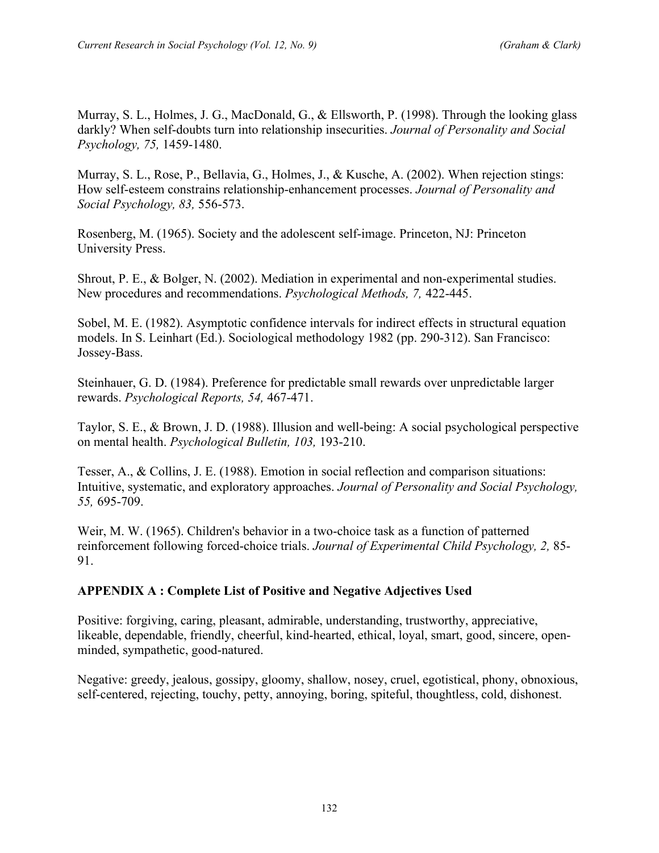Murray, S. L., Holmes, J. G., MacDonald, G., & Ellsworth, P. (1998). Through the looking glass darkly? When self-doubts turn into relationship insecurities. *Journal of Personality and Social Psychology, 75,* 1459-1480.

Murray, S. L., Rose, P., Bellavia, G., Holmes, J., & Kusche, A. (2002). When rejection stings: How self-esteem constrains relationship-enhancement processes. *Journal of Personality and Social Psychology, 83,* 556-573.

Rosenberg, M. (1965). Society and the adolescent self-image. Princeton, NJ: Princeton University Press.

Shrout, P. E., & Bolger, N. (2002). Mediation in experimental and non-experimental studies. New procedures and recommendations. *Psychological Methods, 7,* 422-445.

Sobel, M. E. (1982). Asymptotic confidence intervals for indirect effects in structural equation models. In S. Leinhart (Ed.). Sociological methodology 1982 (pp. 290-312). San Francisco: Jossey-Bass.

Steinhauer, G. D. (1984). Preference for predictable small rewards over unpredictable larger rewards. *Psychological Reports, 54,* 467-471.

Taylor, S. E., & Brown, J. D. (1988). Illusion and well-being: A social psychological perspective on mental health. *Psychological Bulletin, 103,* 193-210.

Tesser, A., & Collins, J. E. (1988). Emotion in social reflection and comparison situations: Intuitive, systematic, and exploratory approaches. *Journal of Personality and Social Psychology, 55,* 695-709.

Weir, M. W. (1965). Children's behavior in a two-choice task as a function of patterned reinforcement following forced-choice trials. *Journal of Experimental Child Psychology, 2,* 85- 91.

#### **APPENDIX A : Complete List of Positive and Negative Adjectives Used**

Positive: forgiving, caring, pleasant, admirable, understanding, trustworthy, appreciative, likeable, dependable, friendly, cheerful, kind-hearted, ethical, loyal, smart, good, sincere, openminded, sympathetic, good-natured.

Negative: greedy, jealous, gossipy, gloomy, shallow, nosey, cruel, egotistical, phony, obnoxious, self-centered, rejecting, touchy, petty, annoying, boring, spiteful, thoughtless, cold, dishonest.